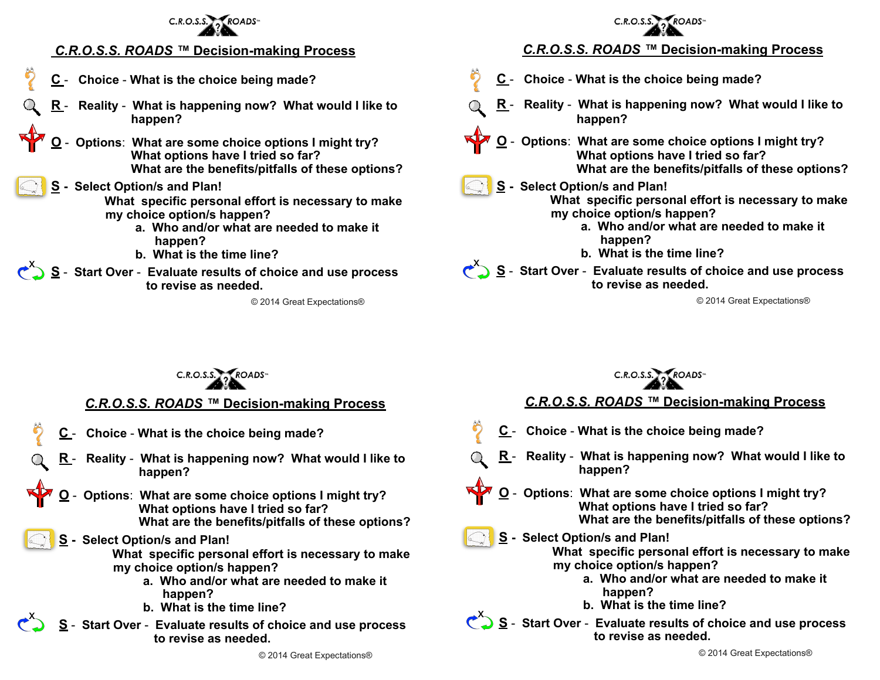

## *C.R.O.S.S. ROADS ™* **Decision-making Process**

- **C Choice What is the choice being made?**
- **R Reality What is happening now? What would I like to happen?**
- **O Options**: **What are some choice options I might try? What options have I tried so far? What are the benefits/pitfalls of these options?**

#### **S - Select Option/s and Plan!**

 **What specific personal effort is necessary to make my choice option/s happen?** 

- **a. Who and/or what are needed to make it happen?**
- **b. What is the time line?**
- **S** Start Over Evaluate results of choice and use process  $\epsilon$ ,  **to revise as needed.**

© 2014 Great Expectations®

# *C.R.O.S.S. ROADS ™* **Decision-making Process**

- **C Choice What is the choice being made?**
- **R Reality What is happening now? What would I like to happen?**
- **O Options**: **What are some choice options I might try? What options have I tried so far? What are the benefits/pitfalls of these options?**
- **S Select Option/s and Plan! What specific personal effort is necessary to make my choice option/s happen?** 
	- **a. Who and/or what are needed to make it happen?**
	- **b. What is the time line?**
- S Start Over **Evaluate results of choice and use process to revise as needed.**

© 2014 Great Expectations®



# *C.R.O.S.S. ROADS ™* **Decision-making Process**

- **C Choice What is the choice being made?**
- **Reality What is happening now? What would I like to happen?**
- **O Options**: **What are some choice options I might try? What options have I tried so far? What are the benefits/pitfalls of these options?**
- **S Select Option/s and Plan!**

 $\overline{\mathbf{X}}$ 

 **What specific personal effort is necessary to make my choice option/s happen?** 

- **a. Who and/or what are needed to make it happen?**
- **b. What is the time line?**
- **S Start Over Evaluate results of choice and use process to revise as needed.**



# *C.R.O.S.S. ROADS ™* **Decision-making Process**

- **C Choice What is the choice being made?**
- **R Reality What is happening now? What would I like to happen?**
- **O Options**: **What are some choice options I might try? What options have I tried so far? What are the benefits/pitfalls of these options?**
- **S Select Option/s and Plan! What specific personal effort is necessary to make my choice option/s happen?** 
	- **a. Who and/or what are needed to make it happen?**
	- **b. What is the time line?**

**S** - Start Over - Evaluate results of choice and use process  **to revise as needed.**